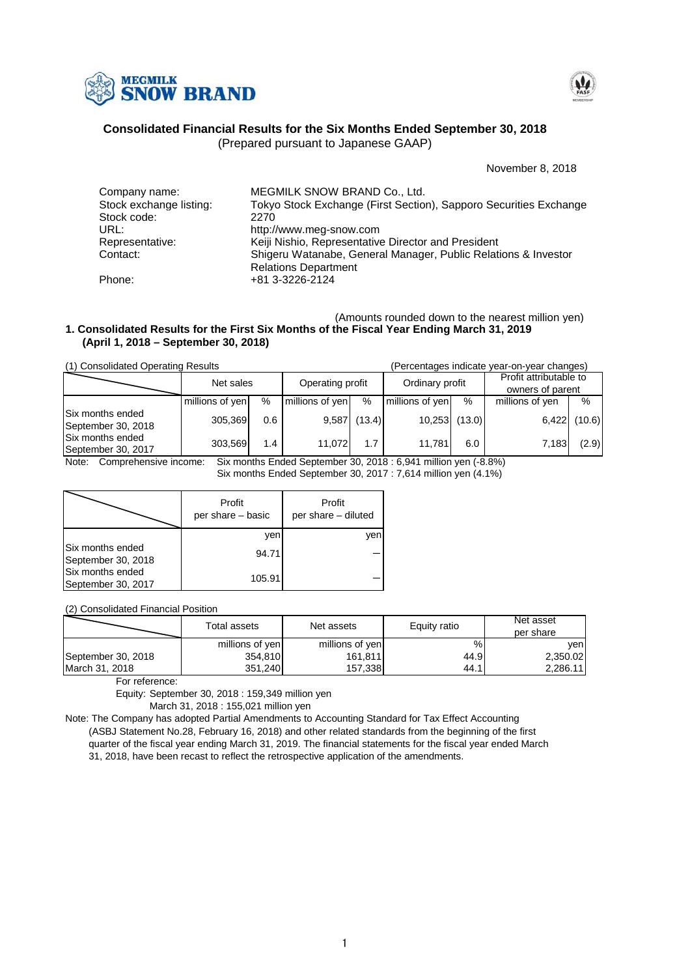



# **Consolidated Financial Results for the Six Months Ended September 30, 2018**

(Prepared pursuant to Japanese GAAP)

November 8, 2018

| Company name:           | MEGMILK SNOW BRAND Co., Ltd.                                      |
|-------------------------|-------------------------------------------------------------------|
| Stock exchange listing: | Tokyo Stock Exchange (First Section), Sapporo Securities Exchange |
| Stock code:             | 2270                                                              |
| URL:                    | http://www.meg-snow.com                                           |
| Representative:         | Keiji Nishio, Representative Director and President               |
| Contact:                | Shigeru Watanabe, General Manager, Public Relations & Investor    |
|                         | <b>Relations Department</b>                                       |
| Phone:                  | +81 3-3226-2124                                                   |

### (Amounts rounded down to the nearest million yen) **(April 1, 2018 – September 30, 2018) 1. Consolidated Results for the First Six Months of the Fiscal Year Ending March 31, 2019**

(1) Consolidated Operating Results (Percentages indicate year-on-year changes)

|                                        | Net sales       |     |                 |                                     |                 |                  | Profit attributable to |        |  |
|----------------------------------------|-----------------|-----|-----------------|-------------------------------------|-----------------|------------------|------------------------|--------|--|
|                                        |                 |     |                 | Operating profit<br>Ordinary profit |                 | owners of parent |                        |        |  |
|                                        | millions of yen | %   | millions of yen | %                                   | millions of yen | %                | millions of yen        | $\%$   |  |
| Six months ended<br>September 30, 2018 | 305,369         | 0.6 | 9,587           | (13.4)                              | 10,253          | (13.0)           | 6,422                  | (10.6) |  |
| Six months ended<br>September 30, 2017 | 303,569         | 1.4 | 11.072          | 1.7                                 | 11,781          | 6.0              | 7.183                  | (2.9)  |  |

Note: Comprehensive income: Six months Ended September 30, 2018 : 6,941 million yen (-8.8%)

Six months Ended September 30, 2017 : 7,614 million yen (4.1%)

|                                        | Profit<br>per share - basic | Profit<br>per share - diluted |
|----------------------------------------|-----------------------------|-------------------------------|
|                                        | ven                         | ven                           |
| Six months ended<br>September 30, 2018 | 94.71                       |                               |
| Six months ended<br>September 30, 2017 | 105.91                      |                               |

(2) Consolidated Financial Position

| Total assets       |                 | Net assets      | Equity ratio | Net asset<br>per share |  |
|--------------------|-----------------|-----------------|--------------|------------------------|--|
|                    | millions of yen | millions of yen | %            | venl                   |  |
| September 30, 2018 | 354,810         | 161,811         | 44.9         | 2,350.02               |  |
| March 31, 2018     | 351.240         | 157.338         | 44.1         | 2,286.11               |  |

For reference:

Equity: September 30, 2018 : 159,349 million yen

March 31, 2018 : 155,021 million yen

Note: The Company has adopted Partial Amendments to Accounting Standard for Tax Effect Accounting (ASBJ Statement No.28, February 16, 2018) and other related standards from the beginning of the first quarter of the fiscal year ending March 31, 2019. The financial statements for the fiscal year ended March 31, 2018, have been recast to reflect the retrospective application of the amendments.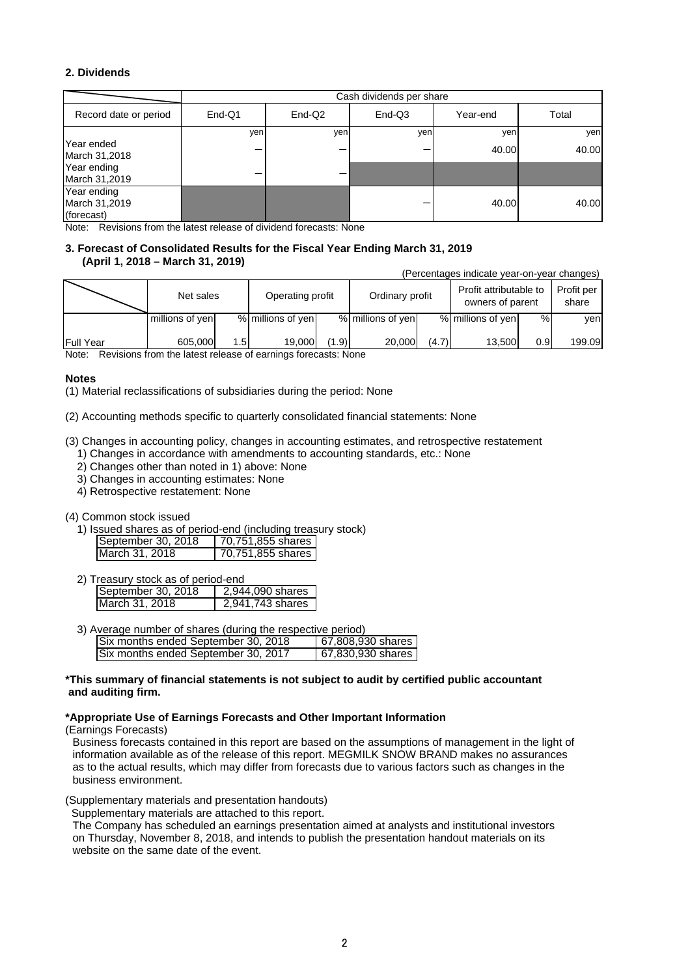# **2. Dividends**

|                                            | Cash dividends per share |        |        |          |       |
|--------------------------------------------|--------------------------|--------|--------|----------|-------|
| Record date or period                      | $End-Q1$                 | End-Q2 | End-Q3 | Year-end | Total |
|                                            | yen                      | yen    | yen    | yen      | yen   |
| Year ended<br>March 31,2018                |                          |        |        | 40.00    | 40.00 |
| Year ending<br>March 31,2019               |                          |        |        |          |       |
| Year ending<br>March 31,2019<br>(forecast) |                          |        |        | 40.00    | 40.00 |

Note: Revisions from the latest release of dividend forecasts: None

## **3. Forecast of Consolidated Results for the Fiscal Year Ending March 31, 2019 (April 1, 2018 – March 31, 2019)**

(Percentages indicate year-on-year changes)

|                  | Net sales       |      | Operating profit  |       | Ordinary profit   |       | Profit attributable to<br>owners of parent |     | Profit per<br>share |
|------------------|-----------------|------|-------------------|-------|-------------------|-------|--------------------------------------------|-----|---------------------|
|                  | millions of yen |      | % millions of yen |       | % millions of yen |       | % millions of yen                          | %   | ven                 |
| <b>Full Year</b> | 605.000         | 1.5I | 19.000            | (1.9) | 20,000            | (4.7) | 13.500                                     | 0.9 | 199.09              |

Note: Revisions from the latest release of earnings forecasts: None

## **Notes**

(1) Material reclassifications of subsidiaries during the period: None

(2) Accounting methods specific to quarterly consolidated financial statements: None

- (3) Changes in accounting policy, changes in accounting estimates, and retrospective restatement
	- 1) Changes in accordance with amendments to accounting standards, etc.: None
	- 2) Changes other than noted in 1) above: None
	- 3) Changes in accounting estimates: None
	- 4) Retrospective restatement: None

### (4) Common stock issued

1) Issued shares as of period-end (including treasury stock)

| September 30, 2018 | 70,751,855 shares |
|--------------------|-------------------|
| March 31, 2018     | 70,751,855 shares |

2) Treasury stock as of period-end

| September 30, $2018$ | 2.944.090 shares |
|----------------------|------------------|
| March 31, 2018       | 2.941.743 shares |

| 3) Average number of shares (during the respective period) |                   |
|------------------------------------------------------------|-------------------|
| Six months ended September 30, 2018                        | 67,808,930 shares |
| Six months ended September 30, 2017                        | 67,830,930 shares |

## **\*This summary of financial statements is not subject to audit by certified public accountant and auditing firm.**

## **\*Appropriate Use of Earnings Forecasts and Other Important Information**

(Earnings Forecasts)

Business forecasts contained in this report are based on the assumptions of management in the light of information available as of the release of this report. MEGMILK SNOW BRAND makes no assurances as to the actual results, which may differ from forecasts due to various factors such as changes in the business environment.

(Supplementary materials and presentation handouts)

Supplementary materials are attached to this report.

The Company has scheduled an earnings presentation aimed at analysts and institutional investors on Thursday, November 8, 2018, and intends to publish the presentation handout materials on its website on the same date of the event.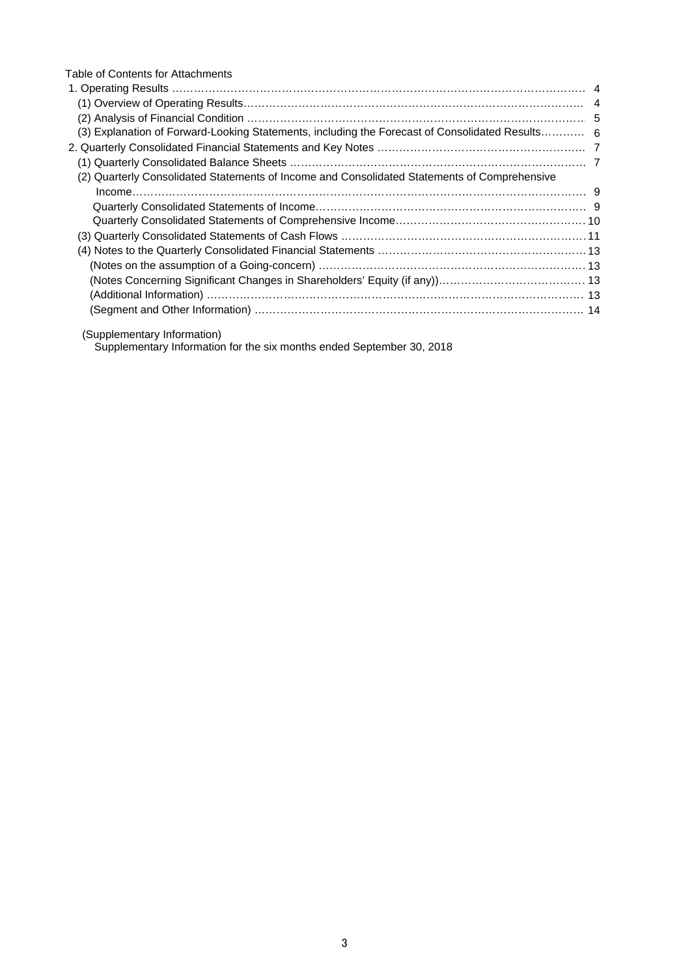| Table of Contents for Attachments                                                               |  |
|-------------------------------------------------------------------------------------------------|--|
|                                                                                                 |  |
|                                                                                                 |  |
|                                                                                                 |  |
| (3) Explanation of Forward-Looking Statements, including the Forecast of Consolidated Results 6 |  |
|                                                                                                 |  |
|                                                                                                 |  |
| (2) Quarterly Consolidated Statements of Income and Consolidated Statements of Comprehensive    |  |
| $Income1223$                                                                                    |  |
|                                                                                                 |  |
|                                                                                                 |  |
|                                                                                                 |  |
|                                                                                                 |  |
|                                                                                                 |  |
|                                                                                                 |  |
|                                                                                                 |  |
|                                                                                                 |  |
|                                                                                                 |  |

(Supplementary Information)

Supplementary Information for the six months ended September 30, 2018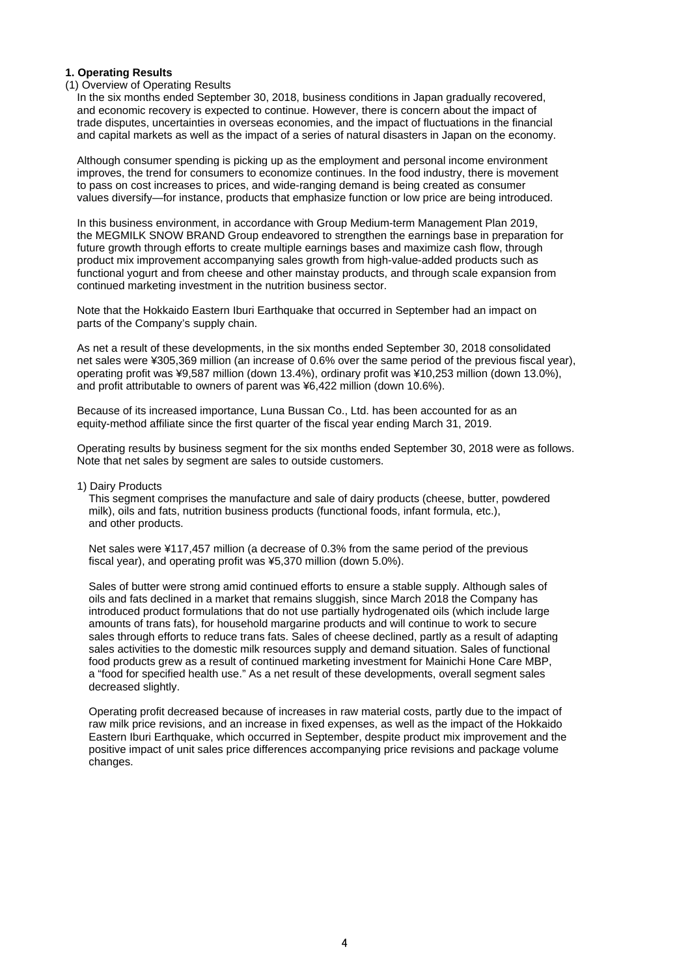## **1. Operating Results**

## (1) Overview of Operating Results

In the six months ended September 30, 2018, business conditions in Japan gradually recovered, and economic recovery is expected to continue. However, there is concern about the impact of trade disputes, uncertainties in overseas economies, and the impact of fluctuations in the financial and capital markets as well as the impact of a series of natural disasters in Japan on the economy.

Although consumer spending is picking up as the employment and personal income environment improves, the trend for consumers to economize continues. In the food industry, there is movement to pass on cost increases to prices, and wide-ranging demand is being created as consumer values diversify—for instance, products that emphasize function or low price are being introduced.

In this business environment, in accordance with Group Medium-term Management Plan 2019, the MEGMILK SNOW BRAND Group endeavored to strengthen the earnings base in preparation for future growth through efforts to create multiple earnings bases and maximize cash flow, through product mix improvement accompanying sales growth from high-value-added products such as functional yogurt and from cheese and other mainstay products, and through scale expansion from continued marketing investment in the nutrition business sector.

Note that the Hokkaido Eastern Iburi Earthquake that occurred in September had an impact on parts of the Company's supply chain.

As net a result of these developments, in the six months ended September 30, 2018 consolidated net sales were ¥305,369 million (an increase of 0.6% over the same period of the previous fiscal year), operating profit was ¥9,587 million (down 13.4%), ordinary profit was ¥10,253 million (down 13.0%), and profit attributable to owners of parent was ¥6,422 million (down 10.6%).

Because of its increased importance, Luna Bussan Co., Ltd. has been accounted for as an equity-method affiliate since the first quarter of the fiscal year ending March 31, 2019.

Operating results by business segment for the six months ended September 30, 2018 were as follows. Note that net sales by segment are sales to outside customers.

1) Dairy Products

This segment comprises the manufacture and sale of dairy products (cheese, butter, powdered milk), oils and fats, nutrition business products (functional foods, infant formula, etc.), and other products.

Net sales were ¥117,457 million (a decrease of 0.3% from the same period of the previous fiscal year), and operating profit was ¥5,370 million (down 5.0%).

Sales of butter were strong amid continued efforts to ensure a stable supply. Although sales of oils and fats declined in a market that remains sluggish, since March 2018 the Company has introduced product formulations that do not use partially hydrogenated oils (which include large amounts of trans fats), for household margarine products and will continue to work to secure sales through efforts to reduce trans fats. Sales of cheese declined, partly as a result of adapting sales activities to the domestic milk resources supply and demand situation. Sales of functional food products grew as a result of continued marketing investment for Mainichi Hone Care MBP, a "food for specified health use." As a net result of these developments, overall segment sales decreased slightly.

Operating profit decreased because of increases in raw material costs, partly due to the impact of raw milk price revisions, and an increase in fixed expenses, as well as the impact of the Hokkaido Eastern Iburi Earthquake, which occurred in September, despite product mix improvement and the positive impact of unit sales price differences accompanying price revisions and package volume changes.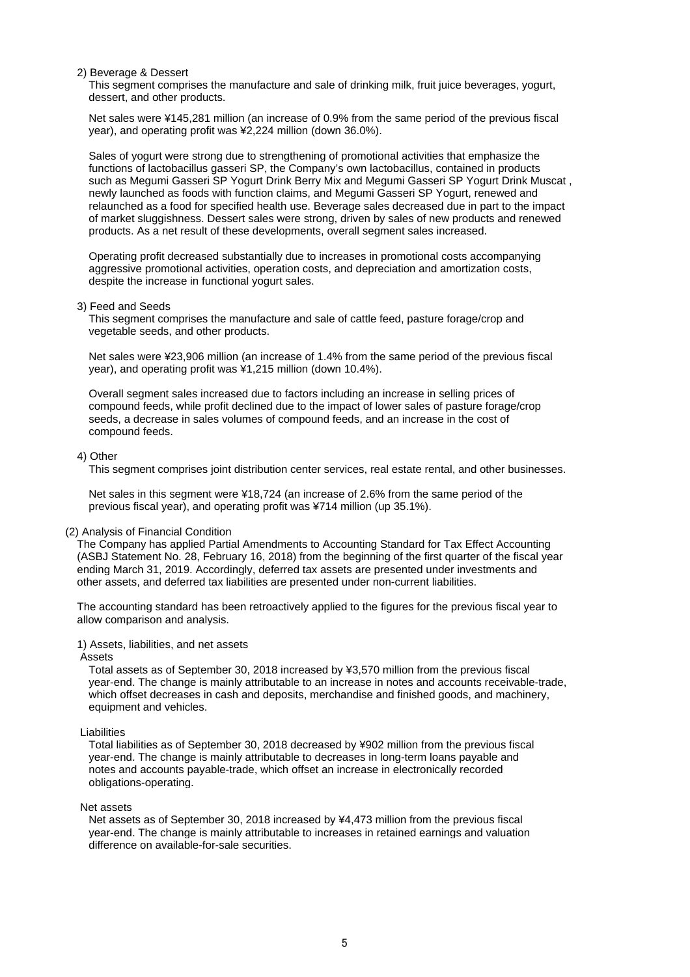## 2) Beverage & Dessert

This segment comprises the manufacture and sale of drinking milk, fruit juice beverages, yogurt, dessert, and other products.

Net sales were ¥145,281 million (an increase of 0.9% from the same period of the previous fiscal year), and operating profit was ¥2,224 million (down 36.0%).

Sales of yogurt were strong due to strengthening of promotional activities that emphasize the functions of lactobacillus gasseri SP, the Company's own lactobacillus, contained in products such as Megumi Gasseri SP Yogurt Drink Berry Mix and Megumi Gasseri SP Yogurt Drink Muscat , newly launched as foods with function claims, and Megumi Gasseri SP Yogurt, renewed and relaunched as a food for specified health use. Beverage sales decreased due in part to the impact of market sluggishness. Dessert sales were strong, driven by sales of new products and renewed products. As a net result of these developments, overall segment sales increased.

Operating profit decreased substantially due to increases in promotional costs accompanying aggressive promotional activities, operation costs, and depreciation and amortization costs, despite the increase in functional yogurt sales.

### 3) Feed and Seeds

This segment comprises the manufacture and sale of cattle feed, pasture forage/crop and vegetable seeds, and other products.

Net sales were ¥23,906 million (an increase of 1.4% from the same period of the previous fiscal year), and operating profit was ¥1,215 million (down 10.4%).

Overall segment sales increased due to factors including an increase in selling prices of compound feeds, while profit declined due to the impact of lower sales of pasture forage/crop seeds, a decrease in sales volumes of compound feeds, and an increase in the cost of compound feeds.

#### 4) Other

This segment comprises joint distribution center services, real estate rental, and other businesses.

Net sales in this segment were ¥18,724 (an increase of 2.6% from the same period of the previous fiscal year), and operating profit was ¥714 million (up 35.1%).

## (2) Analysis of Financial Condition

The Company has applied Partial Amendments to Accounting Standard for Tax Effect Accounting (ASBJ Statement No. 28, February 16, 2018) from the beginning of the first quarter of the fiscal year ending March 31, 2019. Accordingly, deferred tax assets are presented under investments and other assets, and deferred tax liabilities are presented under non-current liabilities.

The accounting standard has been retroactively applied to the figures for the previous fiscal year to allow comparison and analysis.

### 1) Assets, liabilities, and net assets

#### Assets

Total assets as of September 30, 2018 increased by ¥3,570 million from the previous fiscal year-end. The change is mainly attributable to an increase in notes and accounts receivable-trade, which offset decreases in cash and deposits, merchandise and finished goods, and machinery, equipment and vehicles.

### Liabilities

Total liabilities as of September 30, 2018 decreased by ¥902 million from the previous fiscal year-end. The change is mainly attributable to decreases in long-term loans payable and notes and accounts payable-trade, which offset an increase in electronically recorded obligations-operating.

#### Net assets

Net assets as of September 30, 2018 increased by ¥4,473 million from the previous fiscal year-end. The change is mainly attributable to increases in retained earnings and valuation difference on available-for-sale securities.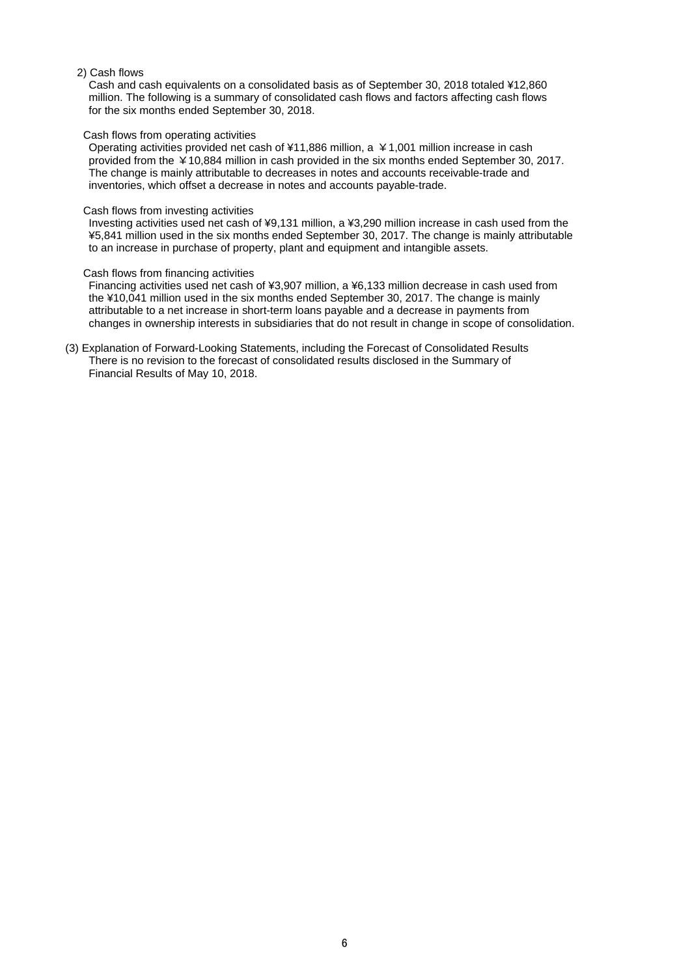# 2) Cash flows

Cash and cash equivalents on a consolidated basis as of September 30, 2018 totaled ¥12,860 million. The following is a summary of consolidated cash flows and factors affecting cash flows for the six months ended September 30, 2018.

### Cash flows from operating activities

Operating activities provided net cash of ¥11,886 million, a ¥1,001 million increase in cash provided from the ¥10,884 million in cash provided in the six months ended September 30, 2017. The change is mainly attributable to decreases in notes and accounts receivable-trade and inventories, which offset a decrease in notes and accounts payable-trade.

#### Cash flows from investing activities

Investing activities used net cash of ¥9,131 million, a ¥3,290 million increase in cash used from the ¥5,841 million used in the six months ended September 30, 2017. The change is mainly attributable to an increase in purchase of property, plant and equipment and intangible assets.

#### Cash flows from financing activities

Financing activities used net cash of ¥3,907 million, a ¥6,133 million decrease in cash used from the ¥10,041 million used in the six months ended September 30, 2017. The change is mainly attributable to a net increase in short-term loans payable and a decrease in payments from changes in ownership interests in subsidiaries that do not result in change in scope of consolidation.

(3) Explanation of Forward-Looking Statements, including the Forecast of Consolidated Results There is no revision to the forecast of consolidated results disclosed in the Summary of Financial Results of May 10, 2018.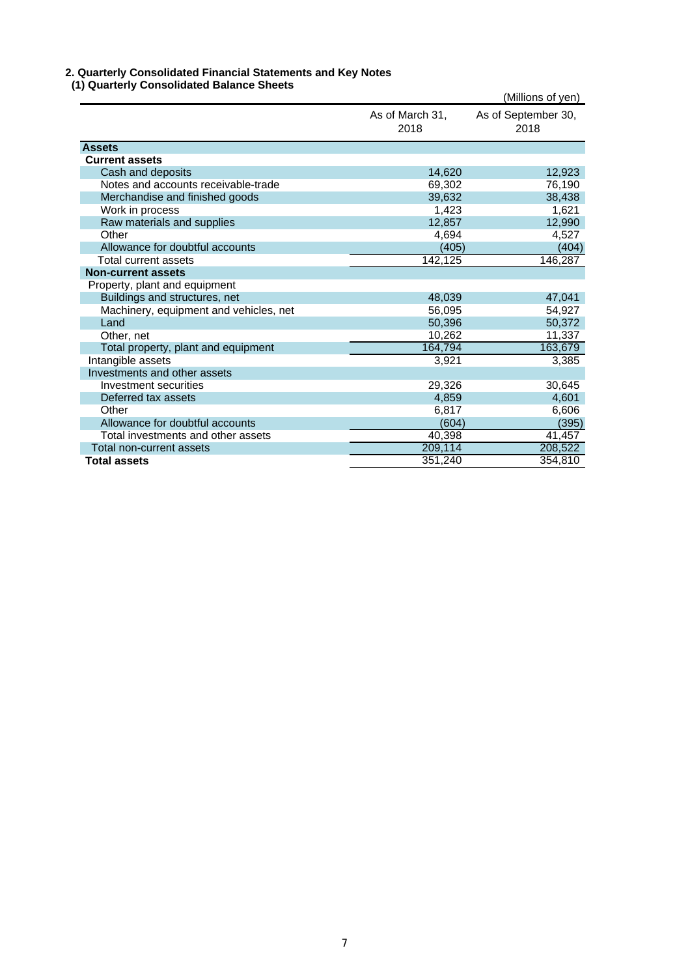# **2. Quarterly Consolidated Financial Statements and Key Notes**

| i) Quarterly Consolidated Balance Sheets |                         | (Millions of yen)           |
|------------------------------------------|-------------------------|-----------------------------|
|                                          | As of March 31,<br>2018 | As of September 30,<br>2018 |
| <b>Assets</b>                            |                         |                             |
| <b>Current assets</b>                    |                         |                             |
| Cash and deposits                        | 14,620                  | 12,923                      |
| Notes and accounts receivable-trade      | 69,302                  | 76,190                      |
| Merchandise and finished goods           | 39,632                  | 38,438                      |
| Work in process                          | 1,423                   | 1,621                       |
| Raw materials and supplies               | 12,857                  | 12,990                      |
| Other                                    | 4,694                   | 4,527                       |
| Allowance for doubtful accounts          | (405)                   | (404)                       |
| Total current assets                     | 142,125                 | 146,287                     |
| <b>Non-current assets</b>                |                         |                             |
| Property, plant and equipment            |                         |                             |
| Buildings and structures, net            | 48,039                  | 47,041                      |
| Machinery, equipment and vehicles, net   | 56.095                  | 54,927                      |
| Land                                     | 50,396                  | 50,372                      |
| Other, net                               | 10,262                  | 11,337                      |
| Total property, plant and equipment      | 164,794                 | 163,679                     |
| Intangible assets                        | 3,921                   | 3,385                       |
| Investments and other assets             |                         |                             |
| Investment securities                    | 29,326                  | 30,645                      |
| Deferred tax assets                      | 4,859                   | 4,601                       |
| Other                                    | 6,817                   | 6,606                       |
| Allowance for doubtful accounts          | (604)                   | (395)                       |
| Total investments and other assets       | 40,398                  | 41,457                      |
| Total non-current assets                 | 209,114                 | 208,522                     |
| <b>Total assets</b>                      | 351,240                 | 354,810                     |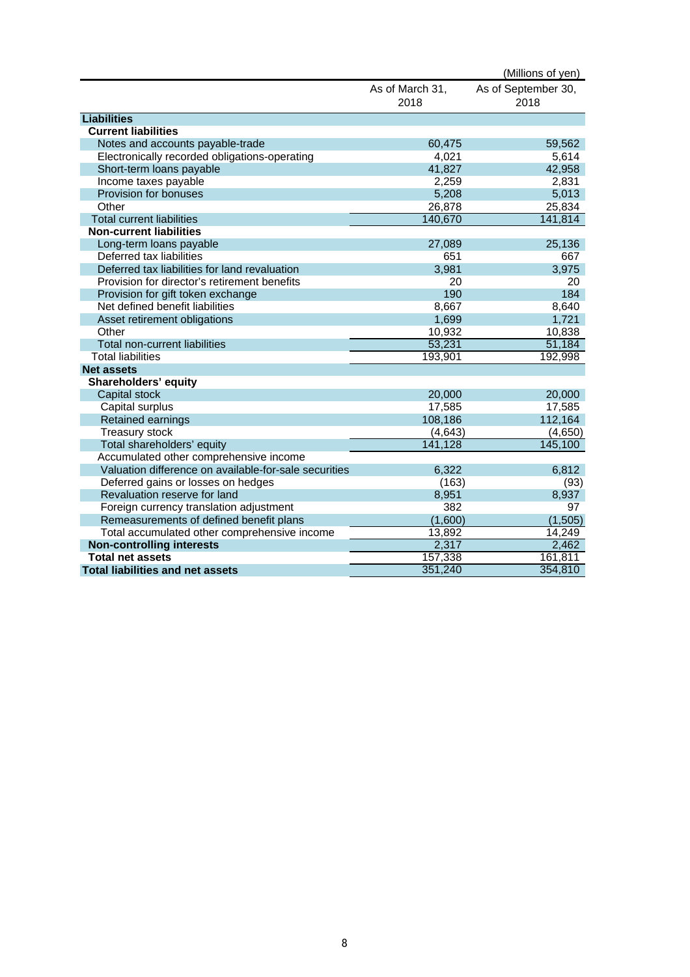|                                                       |                 | (Millions of yen)   |
|-------------------------------------------------------|-----------------|---------------------|
|                                                       | As of March 31, | As of September 30, |
|                                                       | 2018            | 2018                |
| <b>Liabilities</b>                                    |                 |                     |
| <b>Current liabilities</b>                            |                 |                     |
| Notes and accounts payable-trade                      | 60,475          | 59,562              |
| Electronically recorded obligations-operating         | 4,021           | 5,614               |
| Short-term loans payable                              | 41,827          | 42,958              |
| Income taxes payable                                  | 2,259           | 2,831               |
| Provision for bonuses                                 | 5,208           | 5,013               |
| Other                                                 | 26,878          | 25,834              |
| <b>Total current liabilities</b>                      | 140,670         | 141,814             |
| <b>Non-current liabilities</b>                        |                 |                     |
| Long-term loans payable                               | 27,089          | 25,136              |
| Deferred tax liabilities                              | 651             | 667                 |
| Deferred tax liabilities for land revaluation         | 3,981           | 3,975               |
| Provision for director's retirement benefits          | 20              | 20                  |
| Provision for gift token exchange                     | 190             | 184                 |
| Net defined benefit liabilities                       | 8,667           | 8,640               |
| Asset retirement obligations                          | 1,699           | 1,721               |
| Other                                                 | 10,932          | 10,838              |
| Total non-current liabilities                         | 53,231          | 51,184              |
| <b>Total liabilities</b>                              | 193,901         | 192,998             |
| <b>Net assets</b>                                     |                 |                     |
| <b>Shareholders' equity</b>                           |                 |                     |
| Capital stock                                         | 20,000          | 20,000              |
| Capital surplus                                       | 17,585          | 17,585              |
| Retained earnings                                     | 108,186         | 112,164             |
| <b>Treasury stock</b>                                 | (4,643)         | (4,650)             |
| Total shareholders' equity                            | 141,128         | 145,100             |
| Accumulated other comprehensive income                |                 |                     |
| Valuation difference on available-for-sale securities | 6,322           | 6.812               |
| Deferred gains or losses on hedges                    | (163)           | (93)                |
| Revaluation reserve for land                          | 8,951           | 8,937               |
| Foreign currency translation adjustment               | 382             | 97                  |
| Remeasurements of defined benefit plans               | (1,600)         | (1, 505)            |
| Total accumulated other comprehensive income          | 13,892          | 14,249              |
| <b>Non-controlling interests</b>                      | 2,317           | 2,462               |
| <b>Total net assets</b>                               | 157,338         | 161,811             |
| <b>Total liabilities and net assets</b>               | 351,240         | 354,810             |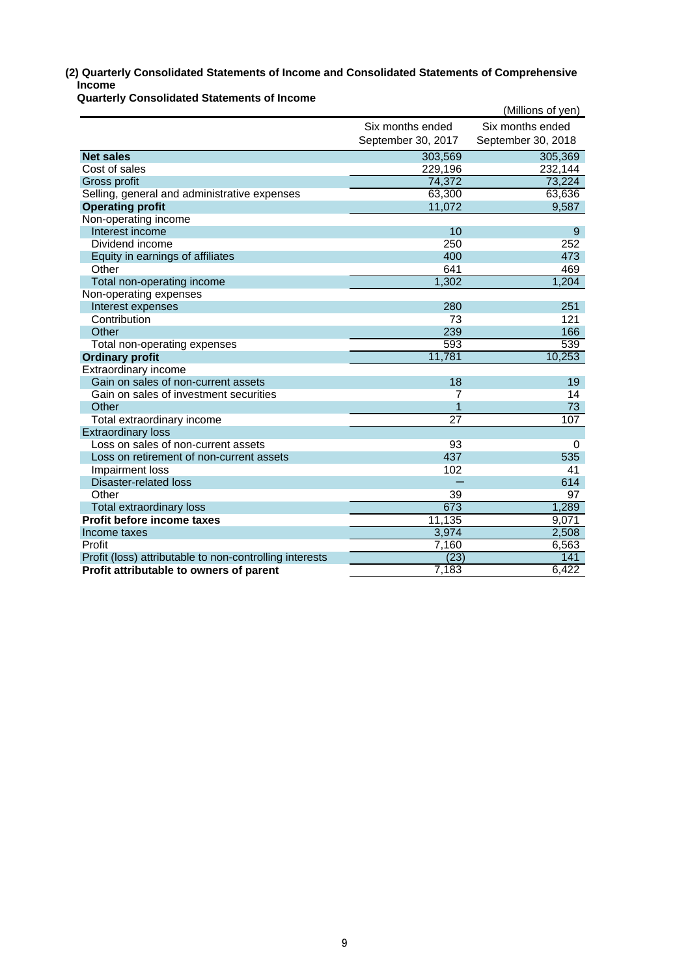# **(2) Quarterly Consolidated Statements of Income and Consolidated Statements of Comprehensive Income**

**Quarterly Consolidated Statements of Income**

|                                                         |                    | (Millions of yen)  |
|---------------------------------------------------------|--------------------|--------------------|
|                                                         | Six months ended   | Six months ended   |
|                                                         | September 30, 2017 | September 30, 2018 |
| <b>Net sales</b>                                        | 303,569            | 305,369            |
| Cost of sales                                           | 229,196            | 232,144            |
| Gross profit                                            | 74,372             | 73,224             |
| Selling, general and administrative expenses            | 63,300             | 63,636             |
| <b>Operating profit</b>                                 | 11,072             | 9,587              |
| Non-operating income                                    |                    |                    |
| Interest income                                         | 10                 | 9                  |
| Dividend income                                         | 250                | 252                |
| Equity in earnings of affiliates                        | 400                | 473                |
| Other                                                   | 641                | 469                |
| Total non-operating income                              | 1,302              | 1,204              |
| Non-operating expenses                                  |                    |                    |
| Interest expenses                                       | 280                | 251                |
| Contribution                                            | 73                 | 121                |
| Other                                                   | 239                | 166                |
| Total non-operating expenses                            | 593                | 539                |
| <b>Ordinary profit</b>                                  | 11,781             | 10,253             |
| Extraordinary income                                    |                    |                    |
| Gain on sales of non-current assets                     | 18                 | 19                 |
| Gain on sales of investment securities                  | 7                  | 14                 |
| Other                                                   |                    | 73                 |
| Total extraordinary income                              | $\overline{27}$    | 107                |
| <b>Extraordinary loss</b>                               |                    |                    |
| Loss on sales of non-current assets                     | 93                 | $\Omega$           |
| Loss on retirement of non-current assets                | 437                | 535                |
| Impairment loss                                         | 102                | 41                 |
| <b>Disaster-related loss</b>                            |                    | 614                |
| Other                                                   | 39                 | 97                 |
| Total extraordinary loss                                | 673                | 1,289              |
| Profit before income taxes                              | 11,135             | 9,071              |
| Income taxes                                            | 3,974              | 2,508              |
| Profit                                                  | 7,160              | 6,563              |
| Profit (loss) attributable to non-controlling interests | (23)               | 141                |
| Profit attributable to owners of parent                 | 7,183              | 6,422              |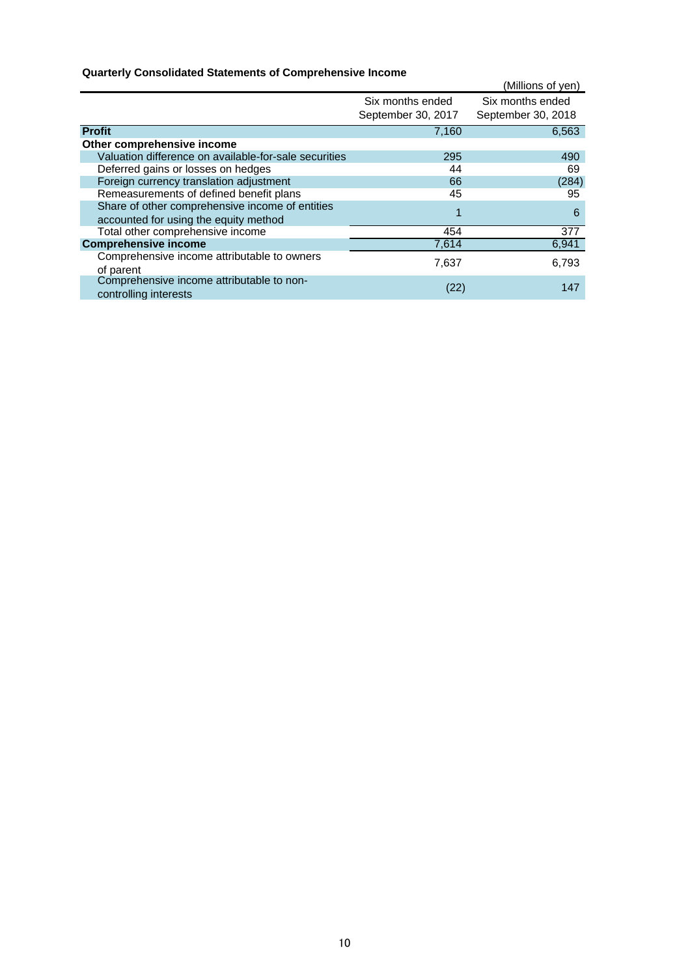# **Quarterly Consolidated Statements of Comprehensive Income**

|                                                                                          |                    | (Millions of yen)  |
|------------------------------------------------------------------------------------------|--------------------|--------------------|
|                                                                                          | Six months ended   | Six months ended   |
|                                                                                          | September 30, 2017 | September 30, 2018 |
| <b>Profit</b>                                                                            | 7,160              | 6,563              |
| Other comprehensive income                                                               |                    |                    |
| Valuation difference on available-for-sale securities                                    | 295                | 490                |
| Deferred gains or losses on hedges                                                       | 44                 | 69                 |
| Foreign currency translation adjustment                                                  | 66                 | (284)              |
| Remeasurements of defined benefit plans                                                  | 45                 | 95                 |
| Share of other comprehensive income of entities<br>accounted for using the equity method | 1                  | 6                  |
| Total other comprehensive income                                                         | 454                | 377                |
| <b>Comprehensive income</b>                                                              | 7,614              | 6,941              |
| Comprehensive income attributable to owners<br>of parent                                 | 7,637              | 6,793              |
| Comprehensive income attributable to non-<br>controlling interests                       | (22)               | 147                |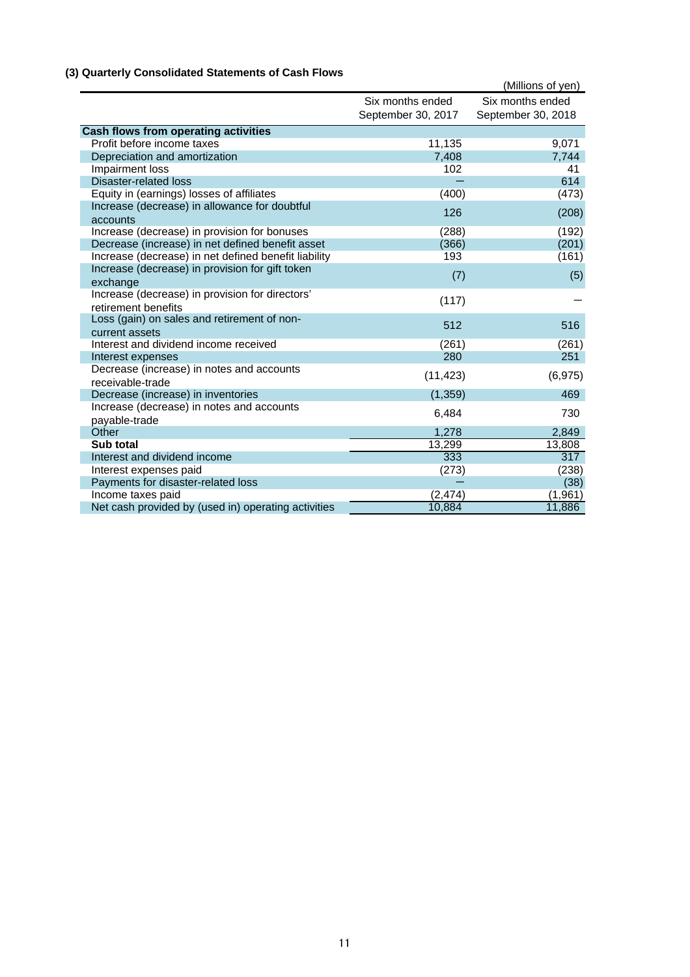# **(3) Quarterly Consolidated Statements of Cash Flows**

|                                                              |                    | (Millions of yen)  |
|--------------------------------------------------------------|--------------------|--------------------|
|                                                              | Six months ended   | Six months ended   |
|                                                              | September 30, 2017 | September 30, 2018 |
| <b>Cash flows from operating activities</b>                  |                    |                    |
| Profit before income taxes                                   | 11,135             | 9,071              |
| Depreciation and amortization                                | 7,408              | 7,744              |
| Impairment loss                                              | 102                | 41                 |
| <b>Disaster-related loss</b>                                 |                    | 614                |
| Equity in (earnings) losses of affiliates                    | (400)              | (473)              |
| Increase (decrease) in allowance for doubtful                |                    |                    |
| accounts                                                     | 126                | (208)              |
| Increase (decrease) in provision for bonuses                 | (288)              | (192)              |
| Decrease (increase) in net defined benefit asset             | (366)              | (201)              |
| Increase (decrease) in net defined benefit liability         | 193                | (161)              |
| Increase (decrease) in provision for gift token              | (7)                | (5)                |
| exchange                                                     |                    |                    |
| Increase (decrease) in provision for directors'              | (117)              |                    |
| retirement benefits                                          |                    |                    |
| Loss (gain) on sales and retirement of non-                  | 512                | 516                |
| current assets                                               |                    |                    |
| Interest and dividend income received                        | (261)              | (261)              |
| Interest expenses                                            | 280                | 251                |
| Decrease (increase) in notes and accounts                    | (11, 423)          | (6, 975)           |
| receivable-trade                                             |                    |                    |
| Decrease (increase) in inventories                           | (1, 359)           | 469                |
| Increase (decrease) in notes and accounts                    | 6,484              | 730                |
| payable-trade                                                |                    |                    |
| Other                                                        | 1,278              | 2,849              |
| Sub total                                                    | 13,299             | 13,808<br>317      |
| Interest and dividend income                                 | 333                |                    |
| Interest expenses paid<br>Payments for disaster-related loss | (273)              | (238)              |
| Income taxes paid                                            | (2, 474)           | (38)<br>(1, 961)   |
| Net cash provided by (used in) operating activities          | 10,884             | 11,886             |
|                                                              |                    |                    |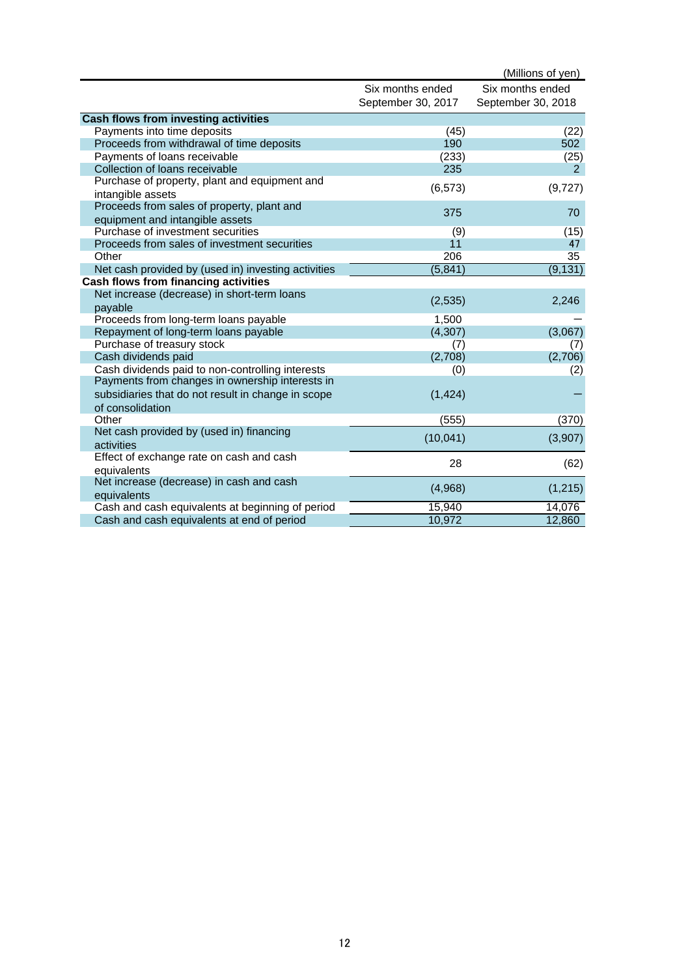|                                                     |                    | (Millions of yen)  |
|-----------------------------------------------------|--------------------|--------------------|
|                                                     | Six months ended   | Six months ended   |
|                                                     | September 30, 2017 | September 30, 2018 |
| <b>Cash flows from investing activities</b>         |                    |                    |
| Payments into time deposits                         | (45)               | (22)               |
| Proceeds from withdrawal of time deposits           | 190                | 502                |
| Payments of loans receivable                        | (233)              | (25)               |
| Collection of loans receivable                      | 235                | 2                  |
| Purchase of property, plant and equipment and       | (6, 573)           |                    |
| intangible assets                                   |                    | (9,727)            |
| Proceeds from sales of property, plant and          | 375                | 70                 |
| equipment and intangible assets                     |                    |                    |
| Purchase of investment securities                   | (9)                | (15)               |
| Proceeds from sales of investment securities        | 11                 | 47                 |
| Other                                               | 206                | 35                 |
| Net cash provided by (used in) investing activities | (5, 841)           | (9, 131)           |
| Cash flows from financing activities                |                    |                    |
| Net increase (decrease) in short-term loans         | (2,535)            | 2,246              |
| payable                                             |                    |                    |
| Proceeds from long-term loans payable               | 1,500              |                    |
| Repayment of long-term loans payable                | (4, 307)           | (3,067)            |
| Purchase of treasury stock                          | (7)                | (7)                |
| Cash dividends paid                                 | (2,708)            | (2,706)            |
| Cash dividends paid to non-controlling interests    | (0)                | (2)                |
| Payments from changes in ownership interests in     |                    |                    |
| subsidiaries that do not result in change in scope  | (1, 424)           |                    |
| of consolidation                                    |                    |                    |
| Other                                               | (555)              | (370)              |
| Net cash provided by (used in) financing            | (10, 041)          | (3,907)            |
| activities                                          |                    |                    |
| Effect of exchange rate on cash and cash            | 28                 | (62)               |
| equivalents                                         |                    |                    |
| Net increase (decrease) in cash and cash            | (4,968)            | (1,215)            |
| equivalents                                         |                    |                    |
| Cash and cash equivalents at beginning of period    | 15,940             | 14,076             |
| Cash and cash equivalents at end of period          | 10,972             | 12,860             |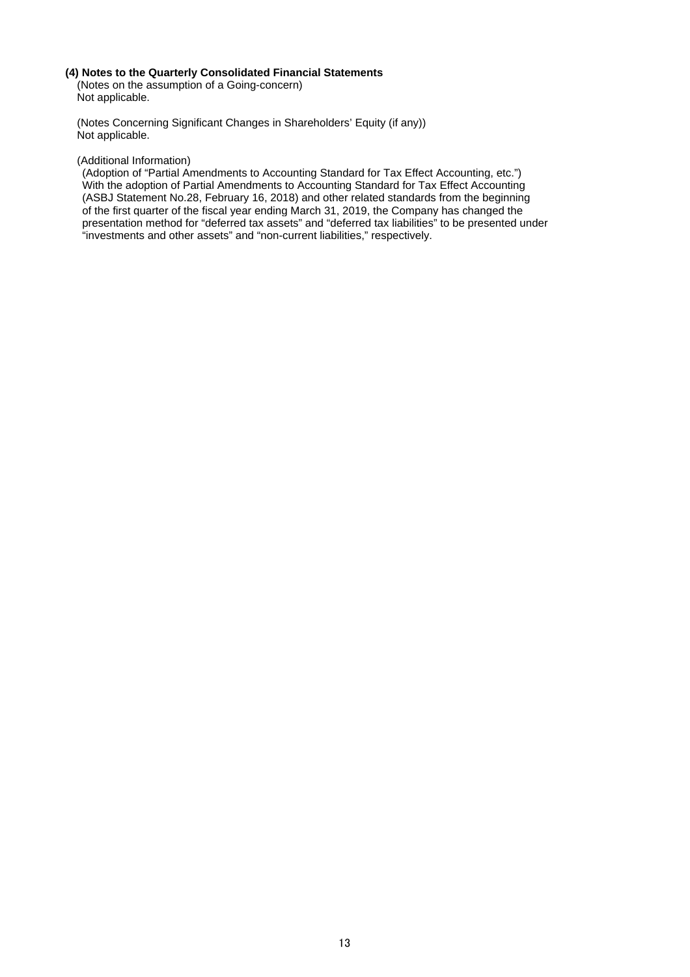# **(4) Notes to the Quarterly Consolidated Financial Statements**

(Notes on the assumption of a Going-concern) Not applicable.

(Notes Concerning Significant Changes in Shareholders' Equity (if any)) Not applicable.

## (Additional Information)

(Adoption of "Partial Amendments to Accounting Standard for Tax Effect Accounting, etc.") With the adoption of Partial Amendments to Accounting Standard for Tax Effect Accounting (ASBJ Statement No.28, February 16, 2018) and other related standards from the beginning of the first quarter of the fiscal year ending March 31, 2019, the Company has changed the presentation method for "deferred tax assets" and "deferred tax liabilities" to be presented under "investments and other assets" and "non-current liabilities," respectively.